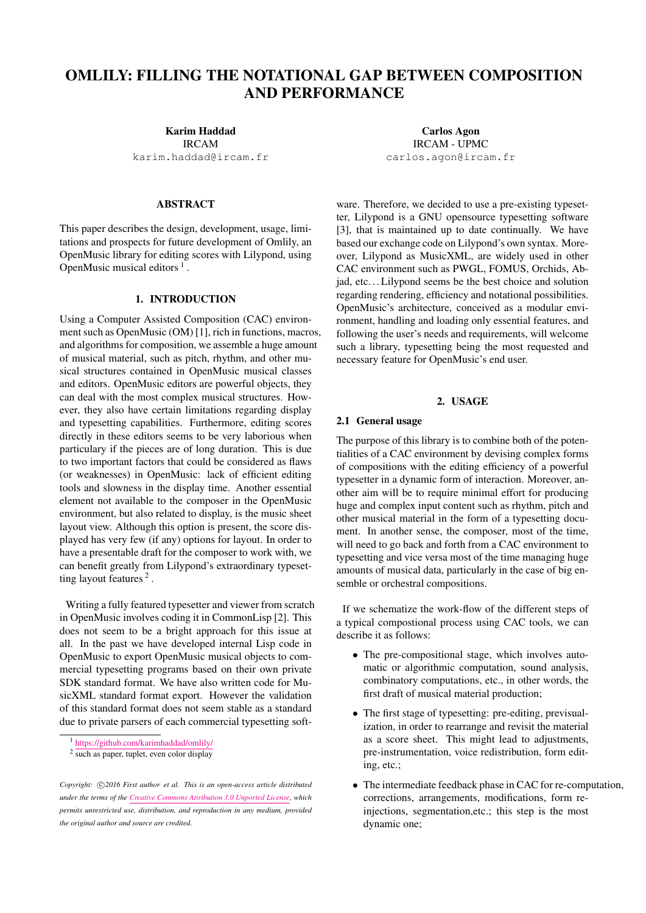# OMLILY: FILLING THE NOTATIONAL GAP BETWEEN COMPOSITION AND PERFORMANCE

Karim Haddad IRCAM

[karim.haddad@ircam.fr](mailto:author1@adomain.org)

### ABSTRACT

This paper describes the design, development, usage, limitations and prospects for future development of Omlily, an OpenMusic library for editing scores with Lilypond, using OpenMusic musical editors  $<sup>1</sup>$  $<sup>1</sup>$  $<sup>1</sup>$ .</sup>

# 1. INTRODUCTION

Using a Computer Assisted Composition (CAC) environment such as OpenMusic (OM) [\[1\]](#page-6-0), rich in functions, macros, and algorithms for composition, we assemble a huge amount of musical material, such as pitch, rhythm, and other musical structures contained in OpenMusic musical classes and editors. OpenMusic editors are powerful objects, they can deal with the most complex musical structures. However, they also have certain limitations regarding display and typesetting capabilities. Furthermore, editing scores directly in these editors seems to be very laborious when particulary if the pieces are of long duration. This is due to two important factors that could be considered as flaws (or weaknesses) in OpenMusic: lack of efficient editing tools and slowness in the display time. Another essential element not available to the composer in the OpenMusic environment, but also related to display, is the music sheet layout view. Although this option is present, the score displayed has very few (if any) options for layout. In order to have a presentable draft for the composer to work with, we can benefit greatly from Lilypond's extraordinary typeset-ting layout features<sup>[2](#page-0-1)</sup>.

Writing a fully featured typesetter and viewer from scratch in OpenMusic involves coding it in CommonLisp [\[2\]](#page-6-1). This does not seem to be a bright approach for this issue at all. In the past we have developed internal Lisp code in OpenMusic to export OpenMusic musical objects to commercial typesetting programs based on their own private SDK standard format. We have also written code for MusicXML standard format export. However the validation of this standard format does not seem stable as a standard due to private parsers of each commercial typesetting soft-

Carlos Agon IRCAM - UPMC [carlos.agon@ircam.fr](mailto:author2@adomain.org)

ware. Therefore, we decided to use a pre-existing typesetter, Lilypond is a GNU opensource typesetting software [\[3\]](#page-6-2), that is maintained up to date continually. We have based our exchange code on Lilypond's own syntax. Moreover, Lilypond as MusicXML, are widely used in other CAC environment such as PWGL, FOMUS, Orchids, Abjad, etc. . . Lilypond seems be the best choice and solution regarding rendering, efficiency and notational possibilities. OpenMusic's architecture, conceived as a modular environment, handling and loading only essential features, and following the user's needs and requirements, will welcome such a library, typesetting being the most requested and necessary feature for OpenMusic's end user.

# 2. USAGE

### 2.1 General usage

The purpose of this library is to combine both of the potentialities of a CAC environment by devising complex forms of compositions with the editing efficiency of a powerful typesetter in a dynamic form of interaction. Moreover, another aim will be to require minimal effort for producing huge and complex input content such as rhythm, pitch and other musical material in the form of a typesetting document. In another sense, the composer, most of the time, will need to go back and forth from a CAC environment to typesetting and vice versa most of the time managing huge amounts of musical data, particularly in the case of big ensemble or orchestral compositions.

If we schematize the work-flow of the different steps of a typical compostional process using CAC tools, we can describe it as follows:

- The pre-compositional stage, which involves automatic or algorithmic computation, sound analysis, combinatory computations, etc., in other words, the first draft of musical material production;
- The first stage of typesetting: pre-editing, previsualization, in order to rearrange and revisit the material as a score sheet. This might lead to adjustments, pre-instrumentation, voice redistribution, form editing, etc.;
- The intermediate feedback phase in CAC for re-computation, corrections, arrangements, modifications, form reinjections, segmentation,etc.; this step is the most dynamic one;

<span id="page-0-0"></span><sup>1</sup> <https://github.com/karimhaddad/omlily/>

<span id="page-0-1"></span> $2 \overline{\text{ such as paper, tuplet, even color display}}$ 

Copyright:  $\bigcirc$ 2016 First author et al. This is an open-access article distributed *under the terms of the [Creative Commons Attribution 3.0 Unported License,](http://creativecommons.org/licenses/by/3.0/) which permits unrestricted use, distribution, and reproduction in any medium, provided the original author and source are credited.*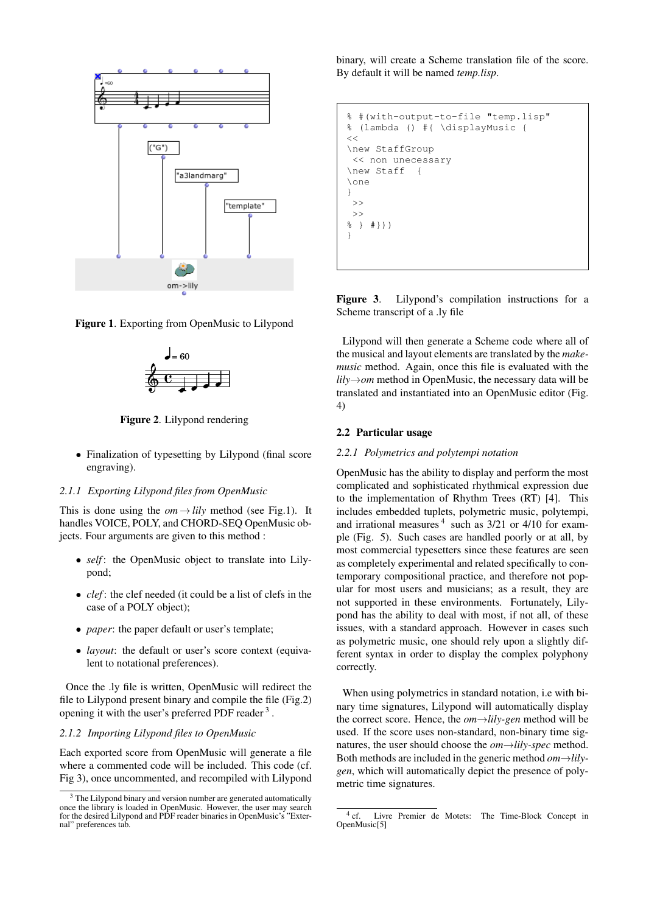<span id="page-1-0"></span>

<span id="page-1-1"></span>



Figure 2. Lilypond rendering

• Finalization of typesetting by Lilypond (final score engraving).

## *2.1.1 Exporting Lilypond files from OpenMusic*

This is done using the  $\omega m \rightarrow l \bar{i} l y$  method (see Fig[.1\)](#page-1-0). It handles VOICE, POLY, and CHORD-SEQ OpenMusic objects. Four arguments are given to this method :

- *self*: the OpenMusic object to translate into Lilypond;
- *clef* : the clef needed (it could be a list of clefs in the case of a POLY object);
- *paper*: the paper default or user's template;
- *layout*: the default or user's score context (equivalent to notational preferences).

Once the .ly file is written, OpenMusic will redirect the file to Lilypond present binary and compile the file (Fig[.2\)](#page-1-1) opening it with the user's preferred PDF reader<sup>[3](#page-1-2)</sup>.

#### *2.1.2 Importing Lilypond files to OpenMusic*

Each exported score from OpenMusic will generate a file where a commented code will be included. This code (cf. Fig [3\)](#page-1-3), once uncommented, and recompiled with Lilypond binary, will create a Scheme translation file of the score. By default it will be named *temp.lisp*.

```
% #(with-output-to-file "temp.lisp"
% (lambda () #{ \displayMusic {
<<\new StaffGroup
 << non unecessary
\new Staff {
\one
}
>>
>>
% } #}))
}
```
Figure 3. Lilypond's compilation instructions for a Scheme transcript of a .ly file

Lilypond will then generate a Scheme code where all of the musical and layout elements are translated by the *makemusic* method. Again, once this file is evaluated with the *lily*→*om* method in OpenMusic, the necessary data will be translated and instantiated into an OpenMusic editor (Fig. [4\)](#page-2-0)

#### 2.2 Particular usage

#### *2.2.1 Polymetrics and polytempi notation*

OpenMusic has the ability to display and perform the most complicated and sophisticated rhythmical expression due to the implementation of Rhythm Trees (RT) [\[4\]](#page-6-3). This includes embedded tuplets, polymetric music, polytempi, and irrational measures<sup>[4](#page-1-4)</sup> such as  $3/21$  or  $4/10$  for example (Fig. [5\)](#page-2-1). Such cases are handled poorly or at all, by most commercial typesetters since these features are seen as completely experimental and related specifically to contemporary compositional practice, and therefore not popular for most users and musicians; as a result, they are not supported in these environments. Fortunately, Lilypond has the ability to deal with most, if not all, of these issues, with a standard approach. However in cases such as polymetric music, one should rely upon a slightly different syntax in order to display the complex polyphony correctly.

When using polymetrics in standard notation, i.e with binary time signatures, Lilypond will automatically display the correct score. Hence, the *om*→*lily-gen* method will be used. If the score uses non-standard, non-binary time signatures, the user should choose the *om*→*lily-spec* method. Both methods are included in the generic method *om*→*lilygen*, which will automatically depict the presence of polymetric time signatures.

<span id="page-1-2"></span><sup>&</sup>lt;sup>3</sup> The Lilypond binary and version number are generated automatically once the library is loaded in OpenMusic. However, the user may search for the desired Lilypond and PDF reader binaries in OpenMusic's "External" preferences tab.

<span id="page-1-4"></span> $^4$  cf. Livre Premier de Motets: The Time-Block Concept in OpenMusic[\[5\]](#page-6-4)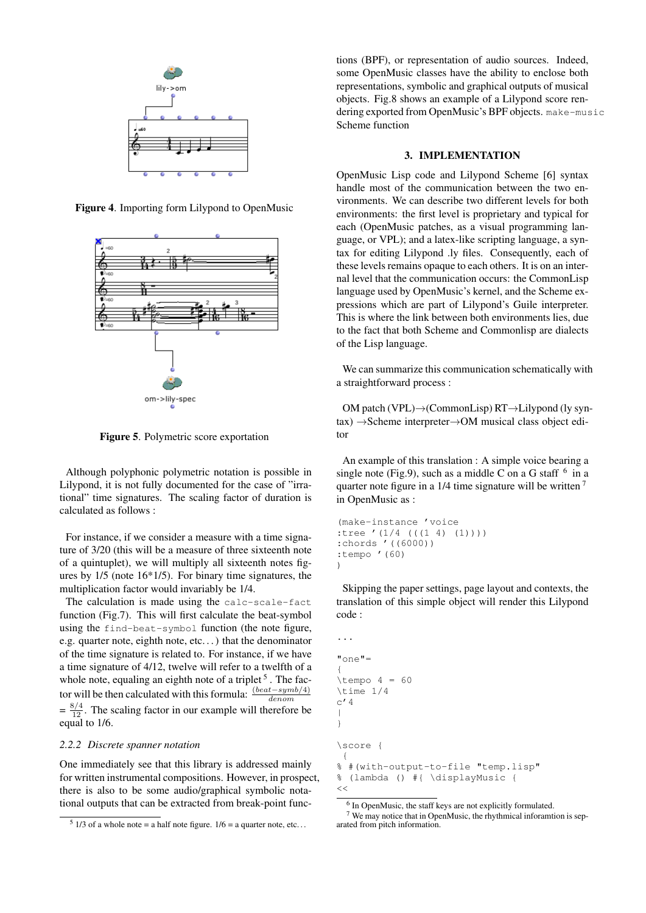<span id="page-2-0"></span>

<span id="page-2-1"></span>Figure 4. Importing form Lilypond to OpenMusic



Figure 5. Polymetric score exportation

Although polyphonic polymetric notation is possible in Lilypond, it is not fully documented for the case of "irrational" time signatures. The scaling factor of duration is calculated as follows :

For instance, if we consider a measure with a time signature of 3/20 (this will be a measure of three sixteenth note of a quintuplet), we will multiply all sixteenth notes figures by 1/5 (note 16\*1/5). For binary time signatures, the multiplication factor would invariably be 1/4.

The calculation is made using the calc-scale-fact function (Fig[.7\)](#page-3-0). This will first calculate the beat-symbol using the find-beat-symbol function (the note figure, e.g. quarter note, eighth note, etc. . . ) that the denominator of the time signature is related to. For instance, if we have a time signature of 4/12, twelve will refer to a twelfth of a whole note, equaling an eighth note of a triplet  $5$ . The factor will be then calculated with this formula:  $\frac{(beat - symbol / 4)}{denom}$  $=\frac{8/4}{12}$ . The scaling factor in our example will therefore be equal to 1/6.

#### *2.2.2 Discrete spanner notation*

One immediately see that this library is addressed mainly for written instrumental compositions. However, in prospect, there is also to be some audio/graphical symbolic notational outputs that can be extracted from break-point functions (BPF), or representation of audio sources. Indeed, some OpenMusic classes have the ability to enclose both representations, symbolic and graphical outputs of musical objects. Fig[.8](#page-4-0) shows an example of a Lilypond score rendering exported from OpenMusic's BPF objects. make-music Scheme function

#### 3. IMPLEMENTATION

OpenMusic Lisp code and Lilypond Scheme [\[6\]](#page-6-5) syntax handle most of the communication between the two environments. We can describe two different levels for both environments: the first level is proprietary and typical for each (OpenMusic patches, as a visual programming language, or VPL); and a latex-like scripting language, a syntax for editing Lilypond .ly files. Consequently, each of these levels remains opaque to each others. It is on an internal level that the communication occurs: the CommonLisp language used by OpenMusic's kernel, and the Scheme expressions which are part of Lilypond's Guile interpreter. This is where the link between both environments lies, due to the fact that both Scheme and Commonlisp are dialects of the Lisp language.

We can summarize this communication schematically with a straightforward process :

OM patch (VPL)→(CommonLisp) RT→Lilypond (ly syntax) →Scheme interpreter→OM musical class object editor

An example of this translation : A simple voice bearing a single note (Fig[.9\)](#page-4-1), such as a middle C on a G staff  $6$  in a quarter note figure in a 1/4 time signature will be written<sup>[7](#page-2-4)</sup> in OpenMusic as :

```
(make-instance 'voice
:tree '(1/4 (((1 4) (1))))
:chords '((6000))
:tempo '(60)
)
```
Skipping the paper settings, page layout and contexts, the translation of this simple object will render this Lilypond code :

```
...
"one"=
{
\t\times\times 1/4c'4|
}
\score {
 {
% #(with-output-to-file "temp.lisp"
% (lambda () #{ \displayMusic {
<<
```
<span id="page-2-2"></span> $5 \frac{1}{3}$  of a whole note = a half note figure.  $1/6$  = a quarter note, etc...

<span id="page-2-4"></span><span id="page-2-3"></span><sup>&</sup>lt;sup>6</sup> In OpenMusic, the staff keys are not explicitly formulated.

<sup>7</sup> We may notice that in OpenMusic, the rhythmical inforamtion is separated from pitch information.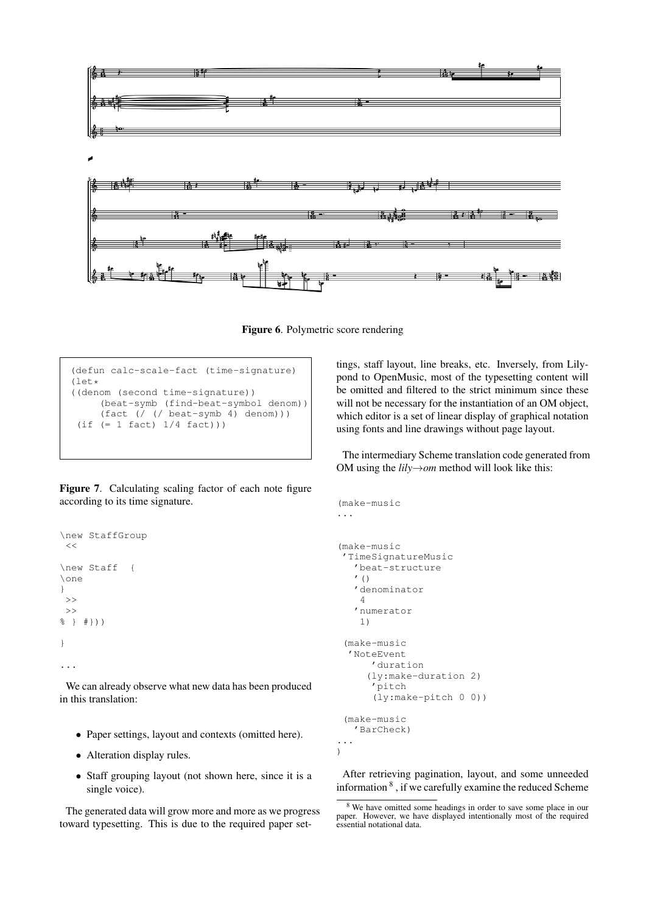

<span id="page-3-2"></span>Figure 6. Polymetric score rendering

```
(defun calc-scale-fact (time-signature)
(1e^+)^*((denom (second time-signature))
     (beat-symb (find-beat-symbol denom))
     (fact (/ (/ beat-symb 4) denom)))
 (if (= 1 fact) 1/4 fact)))
```
Figure 7. Calculating scaling factor of each note figure according to its time signature.

```
\new StaffGroup
<<\new Staff {
\one
}
>>
>>
% } #}))
}
...
```
We can already observe what new data has been produced in this translation:

- Paper settings, layout and contexts (omitted here).
- Alteration display rules.
- Staff grouping layout (not shown here, since it is a single voice).

The generated data will grow more and more as we progress toward typesetting. This is due to the required paper settings, staff layout, line breaks, etc. Inversely, from Lilypond to OpenMusic, most of the typesetting content will be omitted and filtered to the strict minimum since these will not be necessary for the instantiation of an OM object, which editor is a set of linear display of graphical notation using fonts and line drawings without page layout.

The intermediary Scheme translation code generated from OM using the *lily*→*om* method will look like this:

```
(make-music
...
(make-music
 'TimeSignatureMusic
   'beat-structure
   ' ()
   'denominator
    4
   'numerator
    1)
 (make-music
  'NoteEvent
      'duration
     (ly:make-duration 2)
      'pitch
      (ly:make-pitch 0 0))
 (make-music
   'BarCheck)
...
```
)

After retrieving pagination, layout, and some unneeded information  $8$ , if we carefully examine the reduced Scheme

<span id="page-3-1"></span><sup>8</sup> We have omitted some headings in order to save some place in our paper. However, we have displayed intentionally most of the required essential notational data.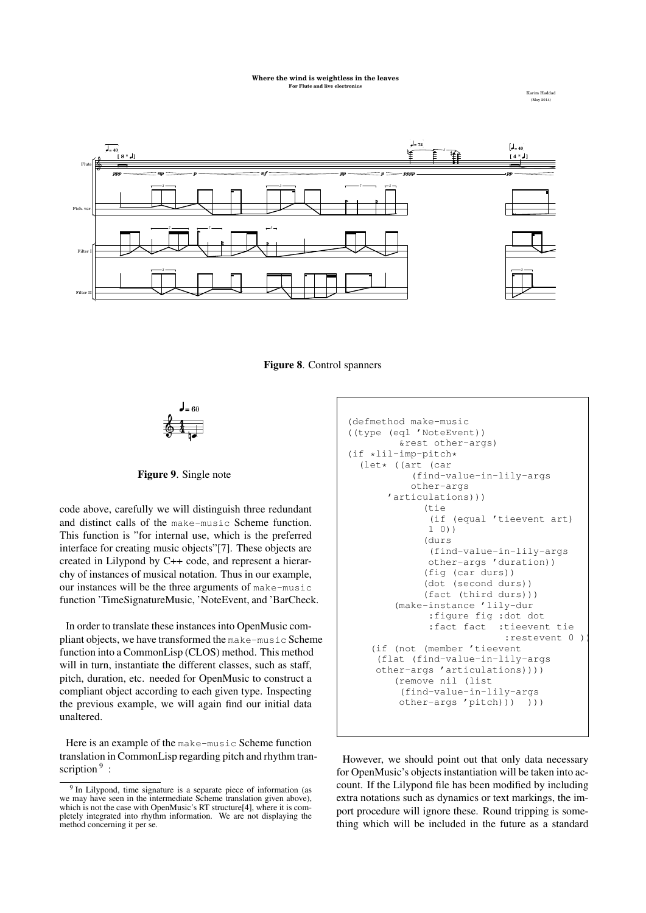#### **Where the wind is weightless in the leaves For Flute and live**

Karim Haddad (May 2014)



<span id="page-4-0"></span>Figure 8. Control spanners

<span id="page-4-1"></span>

Figure 9. Single note

code above, carefully we will distinguish three redundant and distinct calls of the make-music Scheme function. This function is "for internal use, which is the preferred interface for creating music objects"[\[7\]](#page-6-6). These objects are created in Lilypond by C++ code, and represent a hierarchy of instances of musical notation. Thus in our example, our instances will be the three arguments of make-music function 'TimeSignatureMusic, 'NoteEvent, and 'BarCheck.

In order to translate these instances into OpenMusic compliant objects, we have transformed the make-music Scheme function into a CommonLisp (CLOS) method. This method will in turn, instantiate the different classes, such as staff, pitch, duration, etc. needed for OpenMusic to construct a compliant object according to each given type. Inspecting the previous example, we will again find our initial data unaltered.

Here is an example of the make-music Scheme function translation in CommonLisp regarding pitch and rhythm tran-scription<sup>[9](#page-4-2)</sup>:

```
(defmethod make-music
((type (eql 'NoteEvent))
         &rest other-args)
(if *lil-imp-pitch*
  (let* ((art (car
           (find-value-in-lily-args
           other-args
       'articulations)))
             (tie
              (if (equal 'tieevent art)
              1 0))
             (durs
              (find-value-in-lily-args
              other-args 'duration))
             (fig (car durs))
             (dot (second durs))
             (fact (third durs)))
        (make-instance 'lily-dur
              :figure fig :dot dot
              :fact fact :tieevent tie
                            :restevent 0 ))
    (if (not (member 'tieevent
     (flat (find-value-in-lily-args
    other-args 'articulations))))
        (remove nil (list
         (find-value-in-lily-args
        other-args 'pitch))) )))
```
However, we should point out that only data necessary for OpenMusic's objects instantiation will be taken into account. If the Lilypond file has been modified by including extra notations such as dynamics or text markings, the import procedure will ignore these. Round tripping is something which will be included in the future as a standard

<span id="page-4-2"></span><sup>&</sup>lt;sup>9</sup> In Lilypond, time signature is a separate piece of information (as we may have seen in the intermediate Scheme translation given above), which is not the case with OpenMusic's RT structure[\[4\]](#page-6-3), where it is completely integrated into rhythm information. We are not displaying the method concerning it per se.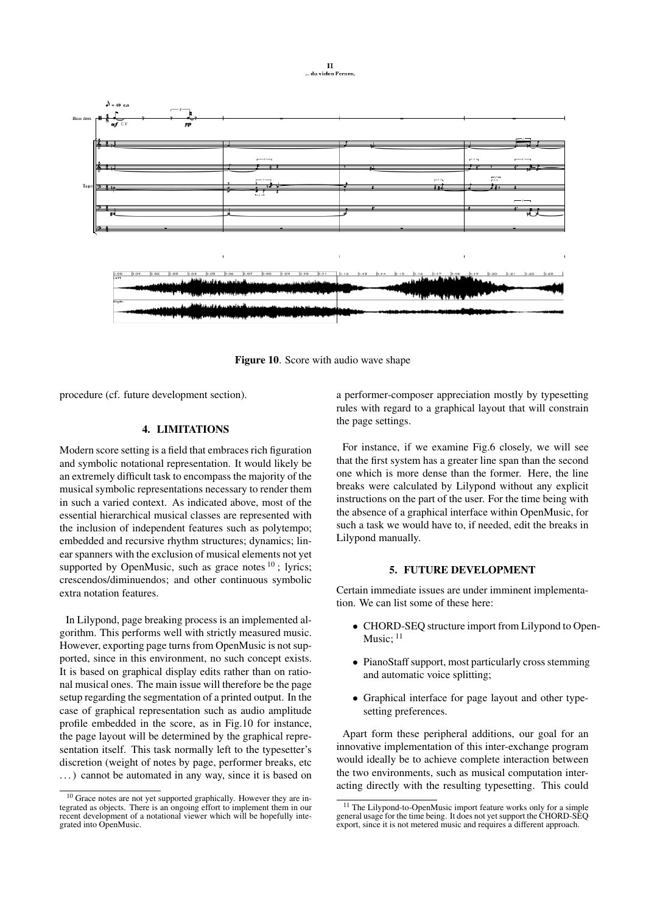

<span id="page-5-1"></span>Figure 10. Score with audio wave shape

procedure (cf. future development section).

# 4. LIMITATIONS

Modern score setting is a field that embraces rich figuration and symbolic notational representation. It would likely be an extremely difficult task to encompass the majority of the musical symbolic representations necessary to render them in such a varied context. As indicated above, most of the essential hierarchical musical classes are represented with the inclusion of independent features such as polytempo; embedded and recursive rhythm structures; dynamics; linear spanners with the exclusion of musical elements not yet supported by OpenMusic, such as grace notes  $10$ ; lyrics; crescendos/diminuendos; and other continuous symbolic extra notation features.

In Lilypond, page breaking process is an implemented algorithm. This performs well with strictly measured music. However, exporting page turns from OpenMusic is not supported, since in this environment, no such concept exists. It is based on graphical display edits rather than on rational musical ones. The main issue will therefore be the page setup regarding the segmentation of a printed output. In the case of graphical representation such as audio amplitude profile embedded in the score, as in Fig[.10](#page-5-1) for instance, the page layout will be determined by the graphical representation itself. This task normally left to the typesetter's discretion (weight of notes by page, performer breaks, etc . . . ) cannot be automated in any way, since it is based on a performer-composer appreciation mostly by typesetting rules with regard to a graphical layout that will constrain the page settings.

For instance, if we examine Fig[.6](#page-3-2) closely, we will see that the first system has a greater line span than the second one which is more dense than the former. Here, the line breaks were calculated by Lilypond without any explicit instructions on the part of the user. For the time being with the absence of a graphical interface within OpenMusic, for such a task we would have to, if needed, edit the breaks in Lilypond manually.

# 5. FUTURE DEVELOPMENT

Certain immediate issues are under imminent implementation. We can list some of these here:

- CHORD-SEO structure import from Lilypond to Open-Music:  $11$
- PianoStaff support, most particularly cross stemming and automatic voice splitting;
- Graphical interface for page layout and other typesetting preferences.

Apart form these peripheral additions, our goal for an innovative implementation of this inter-exchange program would ideally be to achieve complete interaction between the two environments, such as musical computation interacting directly with the resulting typesetting. This could

<span id="page-5-0"></span><sup>10</sup> Grace notes are not yet supported graphically. However they are integrated as objects. There is an ongoing effort to implement them in our recent development of a notational viewer which will be hopefully integrated into OpenMusic.

<span id="page-5-2"></span><sup>&</sup>lt;sup>11</sup> The Lilypond-to-OpenMusic import feature works only for a simple general usage for the time being. It does not yet support the CHORD-SEQ export, since it is not metered music and requires a different approach.